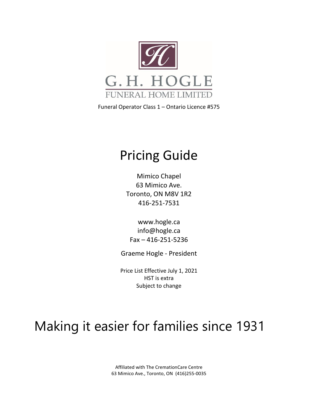

Funeral Operator Class 1 – Ontario Licence #575

# Pricing Guide

Mimico Chapel 63 Mimico Ave. Toronto, ON M8V 1R2 416-251-7531

[www.hogle.ca](http://www.hogle.ca/) [info@hogle.ca](mailto:info@hogle.ca) Fax – 416-251-5236

Graeme Hogle - President

Price List Effective July 1, 2021 HST is extra Subject to change

# Making it easier for families since 1931

Affiliated with The CremationCare Centre 63 Mimico Ave., Toronto, ON (416)255-0035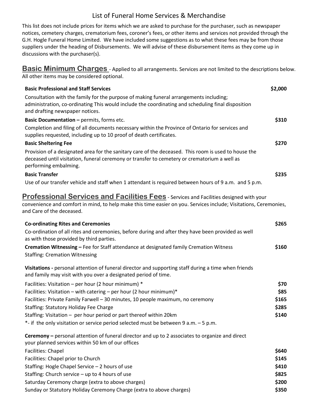### List of Funeral Home Services & Merchandise

This list does not include prices for items which we are asked to purchase for the purchaser, such as newspaper notices, cemetery charges, crematorium fees, coroner's fees, or other items and services not provided through the G.H. Hogle Funeral Home Limited. We have included some suggestions as to what these fees may be from those suppliers under the heading of Disbursements. We will advise of these disbursement items as they come up in discussions with the purchaser(s).

**Basic Minimum Charges** - Applied to all arrangements. Services are not limited to the descriptions below. All other items may be considered optional.

| <b>Basic Professional and Staff Services</b>                                                                                                                                                                                                    | \$2,000 |
|-------------------------------------------------------------------------------------------------------------------------------------------------------------------------------------------------------------------------------------------------|---------|
| Consultation with the family for the purpose of making funeral arrangements including;<br>administration, co-ordinating This would include the coordinating and scheduling final disposition<br>and drafting newspaper notices.                 |         |
| Basic Documentation - permits, forms etc.                                                                                                                                                                                                       | \$310   |
| Completion and filing of all documents necessary within the Province of Ontario for services and<br>supplies requested, including up to 10 proof of death certificates.                                                                         |         |
| <b>Basic Sheltering Fee</b>                                                                                                                                                                                                                     | \$270   |
| Provision of a designated area for the sanitary care of the deceased. This room is used to house the<br>deceased until visitation, funeral ceremony or transfer to cemetery or crematorium a well as<br>performing embalming.                   |         |
| <b>Basic Transfer</b>                                                                                                                                                                                                                           | \$235   |
| Use of our transfer vehicle and staff when 1 attendant is required between hours of 9 a.m. and 5 p.m.                                                                                                                                           |         |
| <b>Professional Services and Facilities Fees</b> - Services and Facilities designed with your<br>convenience and comfort in mind, to help make this time easier on you. Services include; Visitations, Ceremonies,<br>and Care of the deceased. |         |
| <b>Co-ordinating Rites and Ceremonies</b>                                                                                                                                                                                                       | \$265   |
| Co-ordination of all rites and ceremonies, before during and after they have been provided as well<br>as with those provided by third parties.                                                                                                  |         |
| Cremation Witnessing - Fee for Staff attendance at designated family Cremation Witness                                                                                                                                                          | \$160   |
| <b>Staffing: Cremation Witnessing</b>                                                                                                                                                                                                           |         |
| Visitations - personal attention of funeral director and supporting staff during a time when friends<br>and family may visit with you over a designated period of time.                                                                         |         |
| Facilities: Visitation - per hour (2 hour minimum) *                                                                                                                                                                                            | \$70    |
| Facilities: Visitation - with catering - per hour (2 hour minimum)*                                                                                                                                                                             | \$85    |
| Facilities: Private Family Farwell - 30 minutes, 10 people maximum, no ceremony                                                                                                                                                                 | \$165   |
| <b>Staffing: Statutory Holiday Fee Charge</b>                                                                                                                                                                                                   | \$285   |
| Staffing: Visitation - per hour period or part thereof within 20km                                                                                                                                                                              | \$140   |
| *- if the only visitation or service period selected must be between 9 a.m. - 5 p.m.                                                                                                                                                            |         |
| Ceremony - personal attention of funeral director and up to 2 associates to organize and direct<br>your planned services within 50 km of our offices                                                                                            |         |
| Facilities: Chapel                                                                                                                                                                                                                              | \$640   |
| Facilities: Chapel prior to Church                                                                                                                                                                                                              | \$145   |
| Staffing: Hogle Chapel Service - 2 hours of use                                                                                                                                                                                                 | \$410   |
| Staffing: Church service - up to 4 hours of use                                                                                                                                                                                                 | \$825   |
| Saturday Ceremony charge (extra to above charges)                                                                                                                                                                                               | \$200   |
| Sunday or Statutory Holiday Ceremony Charge (extra to above charges)                                                                                                                                                                            | \$350   |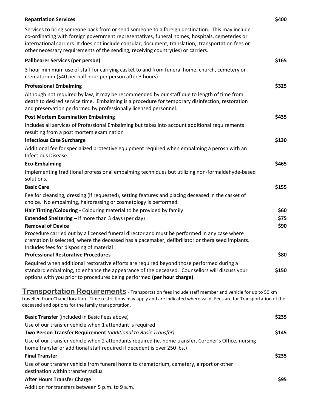| <b>Repatriation Services</b>                                                                                                                                                                                                                                                                                                                                                                | \$400 |
|---------------------------------------------------------------------------------------------------------------------------------------------------------------------------------------------------------------------------------------------------------------------------------------------------------------------------------------------------------------------------------------------|-------|
| Services to bring someone back from or send someone to a foreign destination. This may include<br>co-ordinating with foreign government representatives, funeral homes, hospitals, cemeteries or<br>international carriers. It does not include consular, document, translation, transportation fees or<br>other necessary requirements of the sending, receiving country(ies) or carriers. |       |
| <b>Pallbearer Services (per person)</b>                                                                                                                                                                                                                                                                                                                                                     | \$165 |
| 3 hour minimum use of staff for carrying casket to and from funeral home, church, cemetery or<br>crematorium (\$40 per half hour per person after 3 hours)                                                                                                                                                                                                                                  |       |
| <b>Professional Embalming</b>                                                                                                                                                                                                                                                                                                                                                               | \$325 |
| Although not required by law, it may be recommended by our staff due to length of time from<br>death to desired service time. Embalming is a procedure for temporary disinfection, restoration<br>and preservation performed by professionally licensed personnel.                                                                                                                          |       |
| <b>Post Mortem Examination Embalming</b>                                                                                                                                                                                                                                                                                                                                                    | \$435 |
| Includes all services of Professional Embalming but takes into account additional requirements<br>resulting from a post mortem examination                                                                                                                                                                                                                                                  |       |
| <b>Infectious Case Surcharge</b>                                                                                                                                                                                                                                                                                                                                                            | \$130 |
| Additional fee for specialized protective equipment required when embalming a perosn with an<br>Infectious Disease.                                                                                                                                                                                                                                                                         |       |
| <b>Eco-Embalming</b>                                                                                                                                                                                                                                                                                                                                                                        | \$465 |
| Implementing traditional professional embalming techniques but utilizing non-formaldehyde-based<br>solutions.                                                                                                                                                                                                                                                                               |       |
| <b>Basic Care</b>                                                                                                                                                                                                                                                                                                                                                                           | \$155 |
| Fee for cleansing, dressing (if requested), setting features and placing deceased in the casket of<br>choice. No embalming, hairdressing or cosmetology is performed.                                                                                                                                                                                                                       |       |
| Hair Tinting/Colouring - Colouring material to be provided by family                                                                                                                                                                                                                                                                                                                        | \$60  |
| <b>Extended Sheltering</b> $-$ if more than 3 days (per day)                                                                                                                                                                                                                                                                                                                                | \$75  |
| <b>Removal of Device</b>                                                                                                                                                                                                                                                                                                                                                                    | \$90  |
| Procedure carried out by a licensed funeral director and must be performed in any case where<br>cremation is selected, where the deceased has a pacemaker, defibrillator or thera seed implants.<br>Includes fees for disposing of material                                                                                                                                                 |       |
| <b>Professional Restorative Procedures</b>                                                                                                                                                                                                                                                                                                                                                  | \$80  |
| Required when additional restorative efforts are required beyond those performed during a                                                                                                                                                                                                                                                                                                   |       |
| standard embalming, to enhance the appearance of the deceased. Counsellors will discuss your<br>options with you prior to procedures being performed (per hour charge)                                                                                                                                                                                                                      | \$150 |
| <b>Transportation Requirements</b> - Transportation fees include staff member and vehicle for up to 50 km                                                                                                                                                                                                                                                                                   |       |
| travelled from Chapel location. Time restrictions may apply and are indicated where valid. Fees are for Transportation of the<br>deceased and options for the family transportation.                                                                                                                                                                                                        |       |
| Basic Transfer (included in Basic Fees above)                                                                                                                                                                                                                                                                                                                                               | \$235 |
| Use of our transfer vehicle when 1 attendant is required                                                                                                                                                                                                                                                                                                                                    |       |
| Two Person Transfer Requirement (additional to Basic Transfer)                                                                                                                                                                                                                                                                                                                              | \$145 |
| Use of our transfer vehicle when 2 attendants required (ie. home transfer, Coroner's Office, nursing<br>home transfer or additional staff required if decedent is over 250 lbs.)                                                                                                                                                                                                            |       |
| <b>Final Transfer</b>                                                                                                                                                                                                                                                                                                                                                                       | \$235 |
| Use of our transfer vehicle from funeral home to crematorium, cemetery, airport or other<br>destination within transfer radius                                                                                                                                                                                                                                                              |       |
| <b>After Hours Transfer Charge</b>                                                                                                                                                                                                                                                                                                                                                          | \$95  |
| Addition for transfers between 5 p.m. to 9 a.m.                                                                                                                                                                                                                                                                                                                                             |       |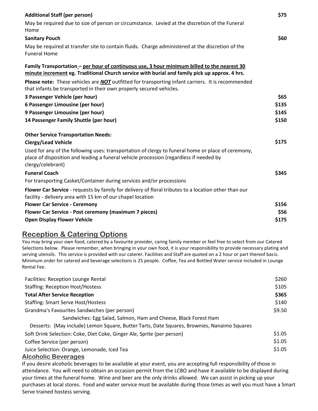| <b>Additional Staff (per person)</b>                                                                                                                                                                              | \$75  |
|-------------------------------------------------------------------------------------------------------------------------------------------------------------------------------------------------------------------|-------|
| May be required due to size of person or circumstance. Levied at the discretion of the Funeral<br>Home                                                                                                            |       |
| <b>Sanitary Pouch</b>                                                                                                                                                                                             | \$60  |
| May be required at transfer site to contain fluids. Charge administered at the discretion of the<br><b>Funeral Home</b>                                                                                           |       |
| Family Transportation - per hour of continuous use, 3 hour minimum billed to the nearest 30<br>minute increment eg. Traditional Church service with burial and family pick up approx. 4 hrs.                      |       |
| Please note: These vehicles are NOT outfitted for transporting infant carriers. It is recommended<br>that infants be transported in their own properly secured vehicles.                                          |       |
| 3 Passenger Vehicle (per hour)                                                                                                                                                                                    | \$65  |
| 6 Passenger Limousine (per hour)                                                                                                                                                                                  | \$135 |
| 9 Passenger Limousine (per hour)                                                                                                                                                                                  | \$145 |
| 14 Passenger Family Shuttle (per hour)                                                                                                                                                                            | \$150 |
| <b>Other Service Transportation Needs:</b>                                                                                                                                                                        |       |
| <b>Clergy/Lead Vehicle</b>                                                                                                                                                                                        | \$175 |
| Used for any of the following uses: transportation of clergy to funeral home or place of ceremony,<br>place of disposition and leading a funeral vehicle procession (regardless if needed by<br>clergy/celebrant) |       |
| <b>Funeral Coach</b>                                                                                                                                                                                              | \$345 |
| For transporting Casket/Container during services and/or processions                                                                                                                                              |       |
| Flower Car Service - requests by family for delivery of floral tributes to a location other than our<br>facility - delivery area with 15 km of our chapel location                                                |       |
| <b>Flower Car Service - Ceremony</b>                                                                                                                                                                              | \$156 |
| Flower Car Service - Post ceremony (maximum 7 pieces)                                                                                                                                                             | \$56  |
| <b>Open Display Flower Vehicle</b>                                                                                                                                                                                | \$175 |

### **Reception & Catering Options**

You may bring your own food, catered by a favourite provider, caring family member or feel free to select from our Catered Selections below. Please remember, when bringing in your own food, it is your responsibility to provide necessary plating and serving utensils. This service is provided with our caterer. Facilities and Staff are quoted on a 2 hour or part thereof basis. Minimum order for catered and beverage selections is 25 people. Coffee, Tea and Bottled Water service included in Lounge Rental Fee.

| Facilities: Reception Lounge Rental                                                         | \$260  |
|---------------------------------------------------------------------------------------------|--------|
| <b>Staffing: Reception Host/Hostess</b>                                                     | \$105  |
| <b>Total After Service Reception</b>                                                        | \$365  |
| <b>Staffing: Smart Serve Host/Hostess</b>                                                   | \$140  |
| Grandma's Favourites Sandwiches (per person)                                                | \$9.50 |
| Sandwiches: Egg Salad, Salmon, Ham and Cheese, Black Forest Ham                             |        |
| Desserts: (May include) Lemon Square, Butter Tarts, Date Squares, Brownies, Nanaimo Squares |        |
| Soft Drink Selection: Coke, Diet Coke, Ginger Ale, Sprite (per person)                      | \$1.05 |
| Coffee Service (per person)                                                                 | \$1.05 |
| Juice Selection: Orange, Lemonade, Iced Tea                                                 | \$1.05 |

#### **Alcoholic Beverages**

If you desire alcoholic beverages to be available at your event, you are accepting full responsibility of those in attendance. You will need to obtain an occasion permit from the LCBO and have it available to be displayed during your times at the funeral home. Wine and beer are the only drinks allowed. We can assist in picking up your purchases at local stores. Food and water service must be available during those times as well you must have a Smart Serve trained hostess serving.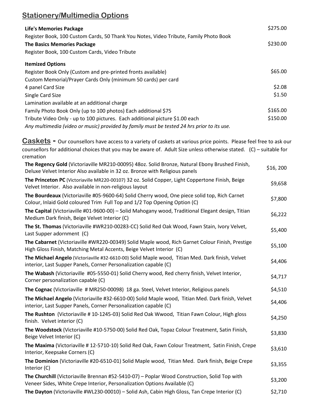# **Stationery/Multimedia Options**

| <b>Life's Memories Package</b>                                                                                                   | \$275.00      |
|----------------------------------------------------------------------------------------------------------------------------------|---------------|
| Register Book, 100 Custom Cards, 50 Thank You Notes, Video Tribute, Family Photo Book                                            |               |
| <b>The Basics Memories Package</b>                                                                                               | \$230.00      |
| Register Book, 100 Custom Cards, Video Tribute                                                                                   |               |
| <b>Itemized Options</b>                                                                                                          |               |
| Register Book Only (Custom and pre-printed fronts available)                                                                     | \$65.00       |
| Custom Memorial/Prayer Cards Only (minimum 50 cards) per card                                                                    |               |
| 4 panel Card Size                                                                                                                | \$2.08        |
| Single Card Size                                                                                                                 | \$1.50        |
| Lamination available at an additional charge                                                                                     |               |
| Family Photo Book Only (up to 100 photos) Each additional \$75                                                                   | \$165.00      |
| Tribute Video Only - up to 100 pictures. Each additional picture \$1.00 each                                                     | \$150.00      |
| Any multimedia (video or music) provided by family must be tested 24 hrs prior to its use.                                       |               |
| Caskets - Our counsellors have access to a variety of caskets at various price points. Please feel free to ask our               |               |
| counsellors for additional choices that you may be aware of. Adult Size unless otherwise stated. (C) – suitable for<br>cremation |               |
| The Regency Gold (Victoriaville MR210-00095) 48oz. Solid Bronze, Natural Ebony Brushed Finish,                                   | $frac$ $\sim$ |

| $\frac{1}{2}$ . The correction of $\frac{1}{2}$ and $\frac{1}{2}$ and $\frac{1}{2}$ and $\frac{1}{2}$ and $\frac{1}{2}$ and $\frac{1}{2}$ and $\frac{1}{2}$ and $\frac{1}{2}$ and $\frac{1}{2}$ and $\frac{1}{2}$ and $\frac{1}{2}$ and $\frac{1}{2}$ and $\frac{1}{2}$ and $\frac{1}{2}$<br>Deluxe Velvet Interior Also available in 32 oz. Bronze with Religious panels | \$16, 200 |
|---------------------------------------------------------------------------------------------------------------------------------------------------------------------------------------------------------------------------------------------------------------------------------------------------------------------------------------------------------------------------|-----------|
| The Princeton PC (Victoriaville MR220-00107) 32 oz. Solid Copper, Light Coppertone Finish, Beige<br>Velvet Interior. Also available in non-religious layout                                                                                                                                                                                                               | \$9,658   |
| The Bourdeaux (Victoriaville #05-9600-64) Solid Cherry wood, One piece solid top, Rich Carnet<br>Colour, Inlaid Gold coloured Trim Full Top and 1/2 Top Opening Option (C)                                                                                                                                                                                                | \$7,800   |
| The Capital (Victoriaville #01-9600-00) - Solid Mahogany wood, Traditional Elegant design, Titian<br>Medium Dark finish, Beige Velvet Interior (C)                                                                                                                                                                                                                        | \$6,222   |
| The St. Thomas (Victoriaville #WR210-00283-CC) Solid Red Oak Wood, Fawn Stain, Ivory Velvet,<br>Last Supper adornment (C)                                                                                                                                                                                                                                                 | \$5,400   |
| The Cabarnet (Victoriaville #WR220-00349) Solid Maple wood, Rich Garnet Colour Finish, Prestige<br>High Gloss Finish, Matching Metal Accents, Beige Velvet Interior (C)                                                                                                                                                                                                   | \$5,100   |
| The Michael Angelo (Victoriaville #32-6610-00) Solid Maple wood, Titian Med. Dark finish, Velvet<br>interior, Last Supper Panels, Corner Personalization capable (C)                                                                                                                                                                                                      | \$4,406   |
| The Wabash (Victoriaville #05-5550-01) Solid Cherry wood, Red cherry finish, Velvet Interior,<br>Corner personalization capable (C)                                                                                                                                                                                                                                       | \$4,717   |
| The Cognac (Victoriaville # MR250-00098) 18 ga. Steel, Velvet Interior, Religious panels                                                                                                                                                                                                                                                                                  | \$4,510   |
| The Michael Angelo (Victoriaville #32-6610-00) Solid Maple wood, Titian Med. Dark finish, Velvet<br>interior, Last Supper Panels, Corner Personalization capable (C)                                                                                                                                                                                                      | \$4,406   |
| The Rushton (Victoriaville #10-1245-03) Solid Red Oak Wwood, Titian Fawn Colour, High gloss<br>finish. Velvet interior (C)                                                                                                                                                                                                                                                | \$4,250   |
| The Woodstock (Victoriaville #10-5750-00) Solid Red Oak, Topaz Colour Treatment, Satin Finish,<br>Beige Velvet Interior (C)                                                                                                                                                                                                                                               | \$3,830   |
| The Maxima (Victoriaville # 12-5710-10) Solid Red Oak, Fawn Colour Treatment, Satin Finish, Crepe<br>Interior, Keepsake Corners (C)                                                                                                                                                                                                                                       | \$3,610   |
| The Dominion (Victoriaville #20-6510-01) Solid Maple wood, Titian Med. Dark finish, Beige Crepe<br>Interior (C)                                                                                                                                                                                                                                                           | \$3,355   |
| The Churchill (Victoriaville Brennan #52-5410-07) - Poplar Wood Construction, Solid Top with                                                                                                                                                                                                                                                                              | co onni   |

Veneer Sides, White Crepe Interior, Personalization Options Available (C) \$3,200

**The Dayton** (Victoriaville #WL230-00010) – Solid Ash, Cabin High Gloss, Tan Crepe Interior (C) \$2,710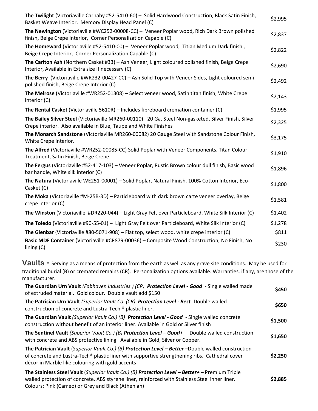| The Twilight (Victoriaville Carnaby #52-5410-60) - Solid Hardwood Construction, Black Satin Finish,<br>Basket Weave Interior, Memory Display Head Panel (C)               | \$2,995 |
|---------------------------------------------------------------------------------------------------------------------------------------------------------------------------|---------|
| The Newington (Victoriaville #WC252-00008-CC) - Veneer Poplar wood, Rich Dark Brown polished<br>finish, Beige Crepe Interior, Corner Personalization Capable (C)          | \$2,837 |
| The Homeward (Victoriaville #52-5410-00) - Veneer Poplar wood, Titian Medium Dark finish,<br>Beige Crepe Interior, Corner Personalization Capable (C)                     | \$2,822 |
| The Carlton Ash (Northern Casket #33) - Ash Veneer, Light coloured polished finish, Beige Crepe<br>Interior, Available in Extra size if necessary (C)                     | \$2,690 |
| The Berry (Victoriaville #WR232-00427-CC) - Ash Solid Top with Veneer Sides, Light coloured semi-<br>polished finish, Beige Crepe Interior (C)                            | \$2,492 |
| The Melrose (Victoriaville #WR252-01308) - Select veneer wood, Satin titan finish, White Crepe<br>Interior (C)                                                            | \$2,143 |
| The Rental Casket (Victoriaville 5610R) - Includes fibreboard cremation container (C)                                                                                     | \$1,995 |
| The Bailey Silver Steel (Victoriaville MR260-00110) -20 Ga. Steel Non-gasketed, Silver Finish, Silver<br>Crepe interior. Also available in Blue, Taupe and White Finishes | \$2,325 |
| The Monarch Sandstone (Victoriaville MR260-00082) 20 Gauge Steel with Sandstone Colour Finish,<br>White Crepe Interior.                                                   | \$3,175 |
| The Alfred (Victoriaville #WR252-00085-CC) Solid Poplar with Veneer Components, Titan Colour<br>Treatment, Satin Finish, Beige Crepe                                      | \$1,910 |
| The Fergus (Victoriaville #52-417-103) - Veneer Poplar, Rustic Brown colour dull finish, Basic wood<br>bar handle, White silk interior (C)                                | \$1,896 |
| The Natura (Victoriaville WE251-00001) - Solid Poplar, Natural Finish, 100% Cotton Interior, Eco-<br>Casket (C)                                                           | \$1,800 |
| The Moka (Victoriaville #M-25B-3D) - Particleboard with dark brown carte veneer overlay, Beige<br>crepe interior (C)                                                      | \$1,581 |
| The Winston (Victoriaville #DR220-044) - Light Gray Felt over Particleboard, White Silk Interior (C)                                                                      | \$1,402 |
| The Toledo (Victoriaville #90-55-01) - Light Gray Felt over Particleboard, White Silk Interior (C)                                                                        | \$1,278 |
| The Glenbar (Victoriaville #80-5071-908) - Flat top, select wood, white crepe interior (C)                                                                                | \$811   |
| Basic MDF Container (Victoriaville #CR879-00036) - Composite Wood Construction, No Finish, No<br>lining $(C)$                                                             | \$230   |

**Vaults -** Serving as a means of protection from the earth as well as any grave site conditions. May be used for traditional burial (B) or cremated remains (CR). Personalization options available. Warranties, if any, are those of the manufacturer.

| The Guardian Urn Vault (Fabhaven Industries.) (CR) Protection Level - Good - Single walled made<br>of extruded material. Gold colour. Double vault add \$150                                                                                             | \$450   |
|----------------------------------------------------------------------------------------------------------------------------------------------------------------------------------------------------------------------------------------------------------|---------|
| The Patrician Urn Vault (Superior Vault Co (CR) Protection Level - Best- Double walled<br>construction of concrete and Lustra-Tech ® plastic liner.                                                                                                      | \$650   |
| The Guardian Vault (Superior Vault Co.) (B) Protection Level - Good - Single walled concrete<br>construction without benefit of an interior liner. Available in Gold or Silver finish                                                                    | \$1,500 |
| The Sentinel Vault (Superior Vault Co.) (B) Protection Level – Good+ – Double walled construction<br>with concrete and ABS protective lining. Available in Gold, Silver or Copper.                                                                       | \$1,650 |
| The Patrician Vault (Superior Vault Co.) (B) Protection Level – Better –Double walled construction<br>of concrete and Lustra-Tech® plastic liner with supportive strengthening ribs. Cathedral cover<br>décor in Marble like colouring with gold accents | \$2,250 |
| The Stainless Steel Vault (Superior Vault Co.) (B) Protection Level - Better+ - Premium Triple<br>walled protection of concrete, ABS styrene liner, reinforced with Stainless Steel inner liner.<br>Colours: Pink (Cameo) or Grey and Black (Athenian)   | \$2,885 |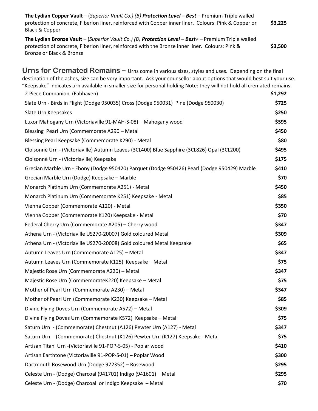| The Lydian Copper Vault – (Superior Vault Co.) (B) Protection Level – Best – Premium Triple walled<br>protection of concrete, Fiberlon liner, reinforced with Copper inner liner. Colours: Pink & Copper or<br>Black & Copper | \$3,225 |
|-------------------------------------------------------------------------------------------------------------------------------------------------------------------------------------------------------------------------------|---------|
| The Lydian Bronze Vault - (Superior Vault Co.) (B) Protection Level - Best+ - Premium Triple walled                                                                                                                           |         |
| protection of concrete, Fiberlon liner, reinforced with the Bronze inner liner. Colours: Pink &                                                                                                                               | \$3,500 |
| Bronze or Black & Bronze                                                                                                                                                                                                      |         |

**Urns for Cremated Remains –** Urns come in various sizes, styles and uses. Depending on the final destination of the ashes, size can be very important. Ask your counsellor about options that would best suit your use. "Keepsake" indicates urn available in smaller size for personal holding Note: they will not hold all cremated remains. 2 Piece Companion (Fabhaven) **\$1,292** Slate Urn - Birds in Flight (Dodge 950035) Cross (Dodge 950031) Pine (Dodge 950030) **\$725** Slate Urn Keepsakes **\$250** Luxor Mahogany Urn (Victoriaville 91-MAH-S-08) – Mahogany wood **\$595** Blessing Pearl Urn (Commemorate A290 – Metal **\$450** Blessing Pearl Keepsake (Commemorate K290) - Metal **\$80 \$80** Cloisonnè Urn - (Victoriaville) Autumn Leaves (3CL400) Blue Sapphire (3CL826) Opal (3CL200) **\$495** Cloisonnè Urn - (Victoriaville) Keepsake **\$175** Grecian Marble Urn - Ebony (Dodge 950420) Parquet (Dodge 950426) Pearl (Dodge 950429) Marble **\$410** Grecian Marble Urn (Dodge) Keepsake – Marble **\$70** Monarch Platinum Urn (Commemorate A251) - Metal **\$450** Monarch Platinum Urn (Commemorate K251) Keepsake - Metal **\$85** Vienna Copper (Commemorate A120) - Metal **\$350** Vienna Copper (Commemorate K120) Keepsake - Metal **\$70** Federal Cherry Urn (Commemorate A205) – Cherry wood **\$347** Athena Urn - (Victoriaville US270-20007) Gold coloured Metal **\$309** Athena Urn - (Victoriaville US270-20008) Gold coloured Metal Keepsake **\$65** Autumn Leaves Urn (Commemorate A125) – Metal *\$347* Autumn Leaves Urn (Commemorate K125) Keepsake – Metal **\$75** Majestic Rose Urn (Commemorate A220) – Metal **\$347** Majestic Rose Urn (CommemorateK220) Keepsake – Metal **\$75** Mother of Pearl Urn (Commemorate A230) – Metal **\$347** Mother of Pearl Urn (Commemorate K230) Keepsake – Metal **\$85** Divine Flying Doves Urn (Commemorate A572) – Metal **\$309** Divine Flying Doves Urn (Commemorate K572) Keepsake – Metal **\$75** Saturn Urn - (Commemorate) Chestnut (A126) Pewter Urn (A127) - Metal **\$347** Saturn Urn - (Commemorate) Chestnut (K126) Pewter Urn (K127) Keepsake - Metal **\$75** Artisan Titan Urn -(Victoriaville 91-POP-S-05) - Poplar wood **\$410** Artisan Earthtone (Victoriaville 91-POP-S-01) – Poplar Wood **\$300** Dartmouth Rosewood Urn (Dodge 972352) – Rosewood **\$295** Celeste Urn - (Dodge) Charcoal (941701) Indigo (941601) – Metal **\$295** Celeste Urn - (Dodge) Charcoal or Indigo Keepsake – Metal **\$70**